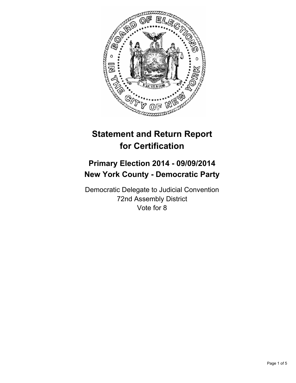

# **Statement and Return Report for Certification**

# **Primary Election 2014 - 09/09/2014 New York County - Democratic Party**

Democratic Delegate to Judicial Convention 72nd Assembly District Vote for 8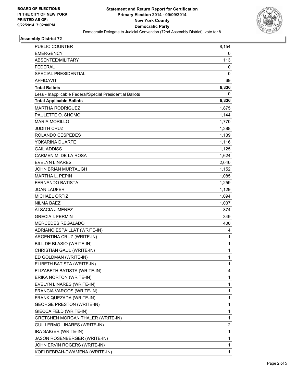

# **Assembly District 72**

| PUBLIC COUNTER                                           | 8,154 |
|----------------------------------------------------------|-------|
| <b>EMERGENCY</b>                                         | 0     |
| ABSENTEE/MILITARY                                        | 113   |
| <b>FEDERAL</b>                                           | 0     |
| SPECIAL PRESIDENTIAL                                     | 0     |
| <b>AFFIDAVIT</b>                                         | 69    |
| <b>Total Ballots</b>                                     | 8,336 |
| Less - Inapplicable Federal/Special Presidential Ballots | 0     |
| <b>Total Applicable Ballots</b>                          | 8,336 |
| <b>MARTHA RODRIGUEZ</b>                                  | 1,875 |
| PAULETTE O. SHOMO                                        | 1,144 |
| <b>MARIA MORILLO</b>                                     | 1,770 |
| <b>JUDITH CRUZ</b>                                       | 1,388 |
| ROLANDO CESPEDES                                         | 1,139 |
| YOKARINA DUARTE                                          | 1,116 |
| <b>GAIL ADDISS</b>                                       | 1,125 |
| CARMEN M. DE LA ROSA                                     | 1,624 |
| <b>EVELYN LINARES</b>                                    | 2,040 |
| JOHN BRIAN MURTAUGH                                      | 1,152 |
| <b>MARTHA L. PEPIN</b>                                   | 1,085 |
| <b>FERNANDO BATISTA</b>                                  | 1,259 |
| <b>JOAN LAUFER</b>                                       | 1,129 |
| <b>MICHAEL ORTIZ</b>                                     | 1,094 |
| <b>NILMA BAEZ</b>                                        | 1,037 |
| <b>ALSACIA JIMENEZ</b>                                   | 874   |
| <b>GRECIA I. FERMIN</b>                                  | 349   |
| MERCEDES REGALADO                                        | 400   |
| ADRIANO ESPAILLAT (WRITE-IN)                             | 4     |
| ARGENTINA CRUZ (WRITE-IN)                                | 1     |
| BILL DE BLASIO (WRITE-IN)                                | 1     |
| CHRISTIAN GAUL (WRITE-IN)                                | 1     |
| ED GOLDMAN (WRITE-IN)                                    | 1     |
| ELIBETH BATISTA (WRITE-IN)                               | 1     |
| ELIZABETH BATISTA (WRITE-IN)                             | 4     |
| ERIKA NORTON (WRITE-IN)                                  | 1     |
| EVELYN LINARES (WRITE-IN)                                | 1     |
| FRANCIA VARGOS (WRITE-IN)                                | 1     |
| FRANK QUEZADA (WRITE-IN)                                 | 1     |
| <b>GEORGE PRESTON (WRITE-IN)</b>                         | 1     |
| GIECCA FELD (WRITE-IN)                                   | 1     |
| GRETCHEN MORGAN THALER (WRITE-IN)                        | 1     |
| GUILLERMO LINARES (WRITE-IN)                             | 2     |
| IRA SAIGER (WRITE-IN)                                    | 1     |
| JASON ROSENBERGER (WRITE-IN)                             | 1     |
| JOHN ERVIN ROGERS (WRITE-IN)                             | 1     |
| KOFI DEBRAH-DWAMENA (WRITE-IN)                           | 1     |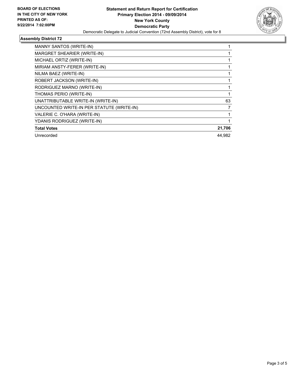

# **Assembly District 72**

| <b>MANNY SANTOS (WRITE-IN)</b>            |        |
|-------------------------------------------|--------|
| MARGRET SHEARIER (WRITE-IN)               |        |
| MICHAEL ORTIZ (WRITE-IN)                  |        |
| MIRIAM ANSTY-FERER (WRITE-IN)             |        |
| NILMA BAEZ (WRITE-IN)                     |        |
| ROBERT JACKSON (WRITE-IN)                 |        |
| RODRIGUEZ MARNO (WRITE-IN)                |        |
| THOMAS PERIO (WRITE-IN)                   |        |
| UNATTRIBUTABLE WRITE-IN (WRITE-IN)        | 63     |
| UNCOUNTED WRITE-IN PER STATUTE (WRITE-IN) | 7      |
| VALERIE C. O'HARA (WRITE-IN)              |        |
| YDANIS RODRIGUEZ (WRITE-IN)               |        |
| <b>Total Votes</b>                        | 21,706 |
| Unrecorded                                | 44.982 |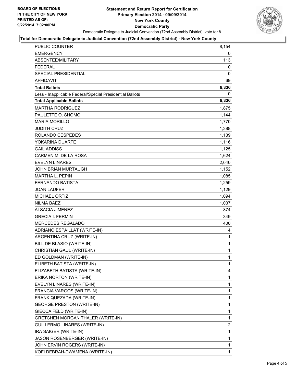

#### **Total for Democratic Delegate to Judicial Convention (72nd Assembly District) - New York County**

| PUBLIC COUNTER                                           | 8,154        |
|----------------------------------------------------------|--------------|
| <b>EMERGENCY</b>                                         | 0            |
| ABSENTEE/MILITARY                                        | 113          |
| FEDERAL                                                  | 0            |
| <b>SPECIAL PRESIDENTIAL</b>                              | 0            |
| <b>AFFIDAVIT</b>                                         | 69           |
| <b>Total Ballots</b>                                     | 8,336        |
| Less - Inapplicable Federal/Special Presidential Ballots | 0            |
| <b>Total Applicable Ballots</b>                          | 8,336        |
| <b>MARTHA RODRIGUEZ</b>                                  | 1,875        |
| PAULETTE O. SHOMO                                        | 1,144        |
| <b>MARIA MORILLO</b>                                     | 1,770        |
| <b>JUDITH CRUZ</b>                                       | 1,388        |
| ROLANDO CESPEDES                                         | 1,139        |
| YOKARINA DUARTE                                          | 1,116        |
| <b>GAIL ADDISS</b>                                       | 1,125        |
| CARMEN M. DE LA ROSA                                     | 1,624        |
| <b>EVELYN LINARES</b>                                    | 2,040        |
| <b>JOHN BRIAN MURTAUGH</b>                               | 1,152        |
| <b>MARTHA L. PEPIN</b>                                   | 1,085        |
| <b>FERNANDO BATISTA</b>                                  | 1,259        |
| <b>JOAN LAUFER</b>                                       | 1,129        |
| <b>MICHAEL ORTIZ</b>                                     | 1,094        |
| <b>NILMA BAEZ</b>                                        | 1,037        |
| <b>ALSACIA JIMENEZ</b>                                   | 874          |
| <b>GRECIA I. FERMIN</b>                                  | 349          |
| MERCEDES REGALADO                                        | 400          |
| ADRIANO ESPAILLAT (WRITE-IN)                             | 4            |
| ARGENTINA CRUZ (WRITE-IN)                                | 1            |
| BILL DE BLASIO (WRITE-IN)                                | $\mathbf{1}$ |
| CHRISTIAN GAUL (WRITE-IN)                                | $\mathbf{1}$ |
| ED GOLDMAN (WRITE-IN)                                    | $\mathbf{1}$ |
| ELIBETH BATISTA (WRITE-IN)                               | 1            |
| ELIZABETH BATISTA (WRITE-IN)                             | 4            |
| ERIKA NORTON (WRITE-IN)                                  | 1            |
| EVELYN LINARES (WRITE-IN)                                | 1            |
| FRANCIA VARGOS (WRITE-IN)                                | 1            |
| FRANK QUEZADA (WRITE-IN)                                 | 1            |
| <b>GEORGE PRESTON (WRITE-IN)</b>                         | 1            |
| GIECCA FELD (WRITE-IN)                                   | 1            |
| <b>GRETCHEN MORGAN THALER (WRITE-IN)</b>                 | 1            |
| <b>GUILLERMO LINARES (WRITE-IN)</b>                      | 2            |
| IRA SAIGER (WRITE-IN)                                    | 1            |
| JASON ROSENBERGER (WRITE-IN)                             | 1            |
| JOHN ERVIN ROGERS (WRITE-IN)                             | 1            |
| KOFI DEBRAH-DWAMENA (WRITE-IN)                           | 1            |